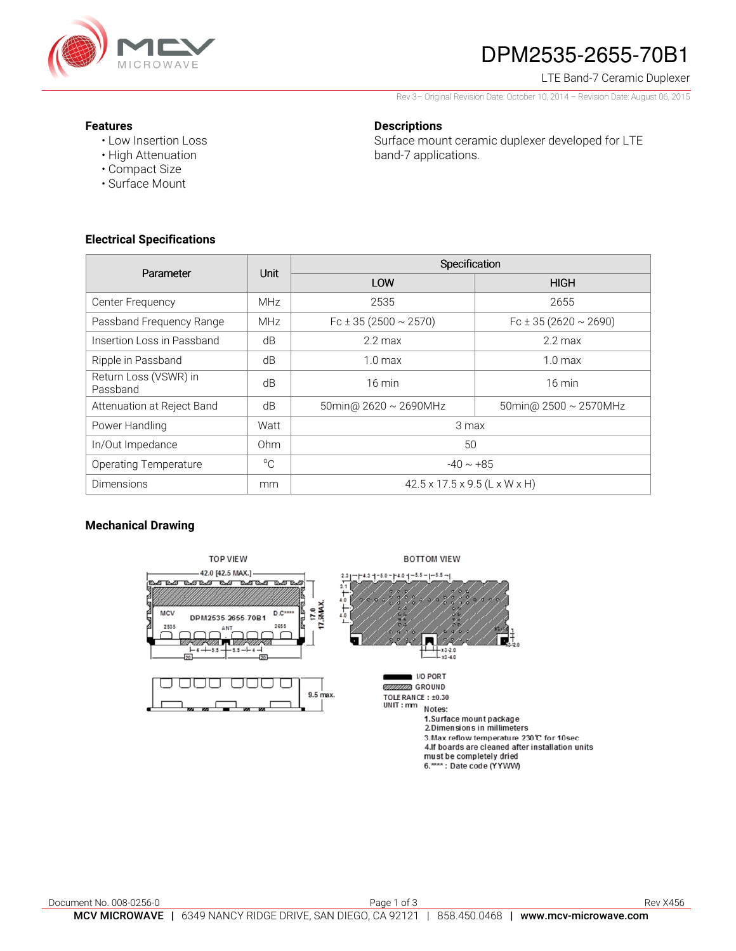

# DPM2535-2655-70B1

### LTE Band-7 Ceramic Duplexer

Rev 3– Original Revision Date: October 10, 2014 – Revision Date: August 06, 2015

### **Features**

• Low Insertion Loss • High Attenuation

### **Descriptions**

Surface mount ceramic duplexer developed for LTE band-7 applications.

• Compact Size • Surface Mount

## **Electrical Specifications**

| Parameter                         | Unit         | Specification                             |                                |
|-----------------------------------|--------------|-------------------------------------------|--------------------------------|
|                                   |              | LOW                                       | <b>HIGH</b>                    |
| Center Frequency                  | <b>MHz</b>   | 2535                                      | 2655                           |
| Passband Frequency Range          | <b>MHz</b>   | Fc $\pm$ 35 (2500 $\sim$ 2570)            | Fc $\pm$ 35 (2620 $\sim$ 2690) |
| Insertion Loss in Passband        | dB           | $2.2 \text{ max}$                         | $2.2 \text{ max}$              |
| Ripple in Passband                | dB           | $1.0 \text{ max}$                         | 1.0 <sub>max</sub>             |
| Return Loss (VSWR) in<br>Passband | dB           | $16 \text{ min}$                          | $16 \text{ min}$               |
| Attenuation at Reject Band        | dB           | 50 min @ $2620 \sim 2690$ MHz             | 50 min @ $2500 \sim 2570$ MHz  |
| Power Handling                    | Watt         | 3 max                                     |                                |
| In/Out Impedance                  | Ohm          | 50                                        |                                |
| <b>Operating Temperature</b>      | $^{\circ}$ C | $-40 \sim +85$                            |                                |
| <b>Dimensions</b>                 | mm           | $42.5 \times 17.5 \times 9.5$ (L x W x H) |                                |

## **Mechanical Drawing**

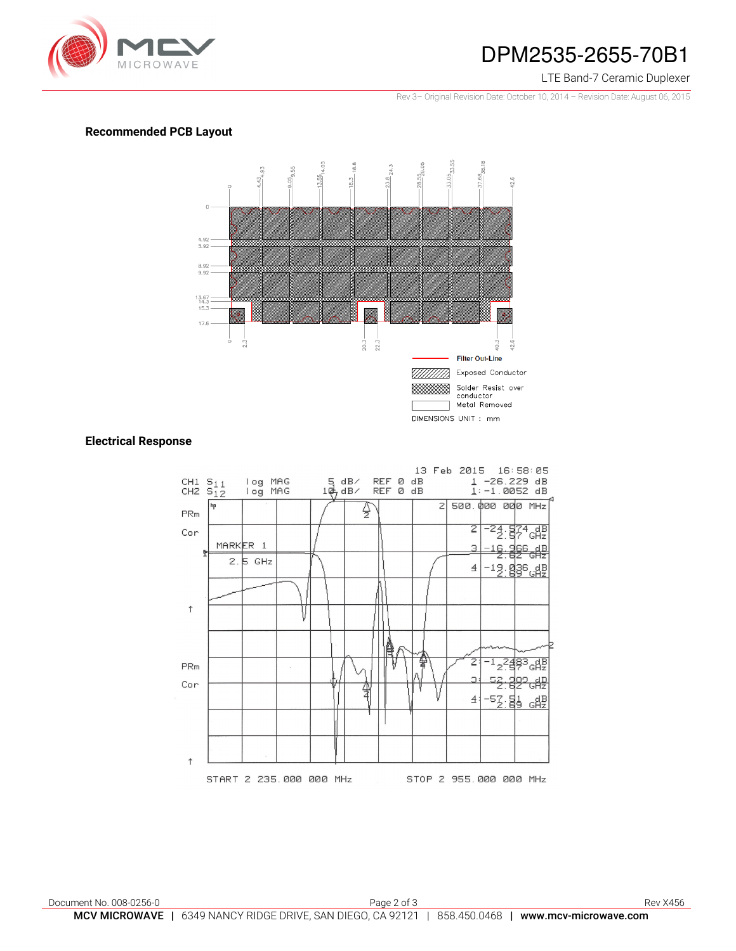

## DPM2535-2655-70B1

### LTE Band-7 Ceramic Duplexer

Rev 3– Original Revision Date: October 10, 2014 – Revision Date: August 06, 2015

### **Recommended PCB Layout**



### **Electrical Response**